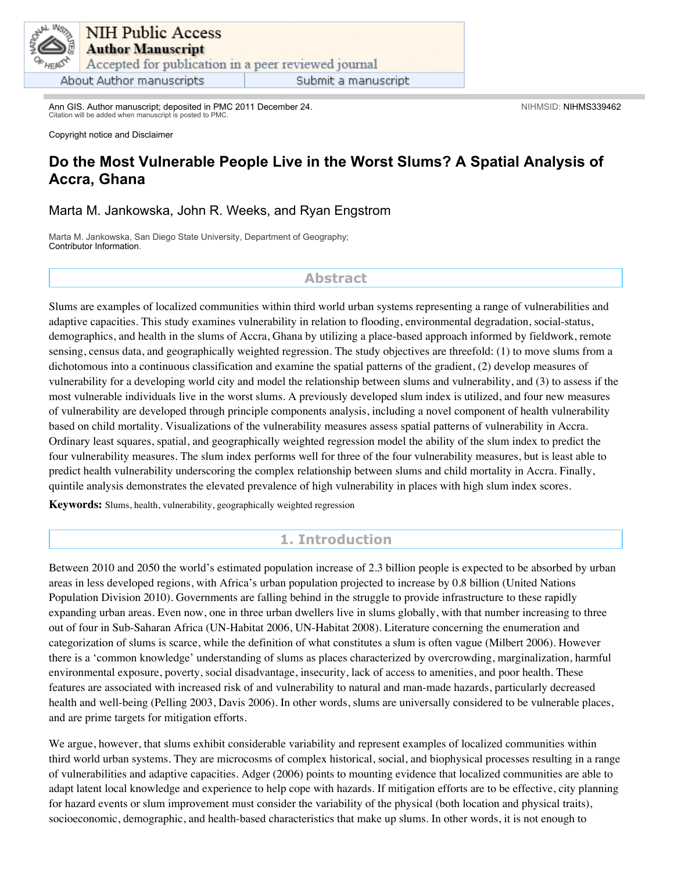

Ann GIS. Author manuscript; deposited in PMC 2011 December 24. Citation will be added when manuscript is posted to PMC.

Copyright notice and Disclaimer

# **Do the Most Vulnerable People Live in the Worst Slums? A Spatial Analysis of Accra, Ghana**

### Marta M. Jankowska, John R. Weeks, and Ryan Engstrom

Marta M. Jankowska, San Diego State University, Department of Geography; Contributor Information.

### **Abstract**

Slums are examples of localized communities within third world urban systems representing a range of vulnerabilities and adaptive capacities. This study examines vulnerability in relation to flooding, environmental degradation, social-status, demographics, and health in the slums of Accra, Ghana by utilizing a place-based approach informed by fieldwork, remote sensing, census data, and geographically weighted regression. The study objectives are threefold: (1) to move slums from a dichotomous into a continuous classification and examine the spatial patterns of the gradient, (2) develop measures of vulnerability for a developing world city and model the relationship between slums and vulnerability, and (3) to assess if the most vulnerable individuals live in the worst slums. A previously developed slum index is utilized, and four new measures of vulnerability are developed through principle components analysis, including a novel component of health vulnerability based on child mortality. Visualizations of the vulnerability measures assess spatial patterns of vulnerability in Accra. Ordinary least squares, spatial, and geographically weighted regression model the ability of the slum index to predict the four vulnerability measures. The slum index performs well for three of the four vulnerability measures, but is least able to predict health vulnerability underscoring the complex relationship between slums and child mortality in Accra. Finally, quintile analysis demonstrates the elevated prevalence of high vulnerability in places with high slum index scores.

**Keywords:** Slums, health, vulnerability, geographically weighted regression

## **1. Introduction**

Between 2010 and 2050 the world's estimated population increase of 2.3 billion people is expected to be absorbed by urban areas in less developed regions, with Africa's urban population projected to increase by 0.8 billion (United Nations Population Division 2010). Governments are falling behind in the struggle to provide infrastructure to these rapidly expanding urban areas. Even now, one in three urban dwellers live in slums globally, with that number increasing to three out of four in Sub-Saharan Africa (UN-Habitat 2006, UN-Habitat 2008). Literature concerning the enumeration and categorization of slums is scarce, while the definition of what constitutes a slum is often vague (Milbert 2006). However there is a 'common knowledge' understanding of slums as places characterized by overcrowding, marginalization, harmful environmental exposure, poverty, social disadvantage, insecurity, lack of access to amenities, and poor health. These features are associated with increased risk of and vulnerability to natural and man-made hazards, particularly decreased health and well-being (Pelling 2003, Davis 2006). In other words, slums are universally considered to be vulnerable places, and are prime targets for mitigation efforts.

We argue, however, that slums exhibit considerable variability and represent examples of localized communities within third world urban systems. They are microcosms of complex historical, social, and biophysical processes resulting in a range of vulnerabilities and adaptive capacities. Adger (2006) points to mounting evidence that localized communities are able to adapt latent local knowledge and experience to help cope with hazards. If mitigation efforts are to be effective, city planning for hazard events or slum improvement must consider the variability of the physical (both location and physical traits), socioeconomic, demographic, and health-based characteristics that make up slums. In other words, it is not enough to

NIHMSID: NIHMS339462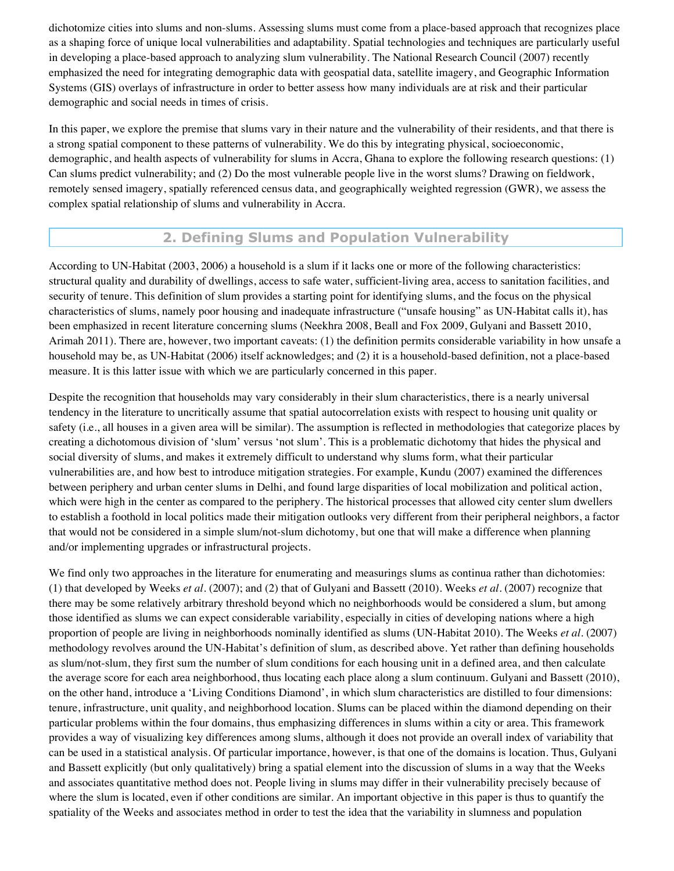dichotomize cities into slums and non-slums. Assessing slums must come from a place-based approach that recognizes place as a shaping force of unique local vulnerabilities and adaptability. Spatial technologies and techniques are particularly useful in developing a place-based approach to analyzing slum vulnerability. The National Research Council (2007) recently emphasized the need for integrating demographic data with geospatial data, satellite imagery, and Geographic Information Systems (GIS) overlays of infrastructure in order to better assess how many individuals are at risk and their particular demographic and social needs in times of crisis.

In this paper, we explore the premise that slums vary in their nature and the vulnerability of their residents, and that there is a strong spatial component to these patterns of vulnerability. We do this by integrating physical, socioeconomic, demographic, and health aspects of vulnerability for slums in Accra, Ghana to explore the following research questions: (1) Can slums predict vulnerability; and (2) Do the most vulnerable people live in the worst slums? Drawing on fieldwork, remotely sensed imagery, spatially referenced census data, and geographically weighted regression (GWR), we assess the complex spatial relationship of slums and vulnerability in Accra.

# **2. Defining Slums and Population Vulnerability**

According to UN-Habitat (2003, 2006) a household is a slum if it lacks one or more of the following characteristics: structural quality and durability of dwellings, access to safe water, sufficient-living area, access to sanitation facilities, and security of tenure. This definition of slum provides a starting point for identifying slums, and the focus on the physical characteristics of slums, namely poor housing and inadequate infrastructure ("unsafe housing" as UN-Habitat calls it), has been emphasized in recent literature concerning slums (Neekhra 2008, Beall and Fox 2009, Gulyani and Bassett 2010, Arimah 2011). There are, however, two important caveats: (1) the definition permits considerable variability in how unsafe a household may be, as UN-Habitat (2006) itself acknowledges; and (2) it is a household-based definition, not a place-based measure. It is this latter issue with which we are particularly concerned in this paper.

Despite the recognition that households may vary considerably in their slum characteristics, there is a nearly universal tendency in the literature to uncritically assume that spatial autocorrelation exists with respect to housing unit quality or safety (i.e., all houses in a given area will be similar). The assumption is reflected in methodologies that categorize places by creating a dichotomous division of 'slum' versus 'not slum'. This is a problematic dichotomy that hides the physical and social diversity of slums, and makes it extremely difficult to understand why slums form, what their particular vulnerabilities are, and how best to introduce mitigation strategies. For example, Kundu (2007) examined the differences between periphery and urban center slums in Delhi, and found large disparities of local mobilization and political action, which were high in the center as compared to the periphery. The historical processes that allowed city center slum dwellers to establish a foothold in local politics made their mitigation outlooks very different from their peripheral neighbors, a factor that would not be considered in a simple slum/not-slum dichotomy, but one that will make a difference when planning and/or implementing upgrades or infrastructural projects.

We find only two approaches in the literature for enumerating and measurings slums as continua rather than dichotomies: (1) that developed by Weeks *et al*. (2007); and (2) that of Gulyani and Bassett (2010). Weeks *et al*. (2007) recognize that there may be some relatively arbitrary threshold beyond which no neighborhoods would be considered a slum, but among those identified as slums we can expect considerable variability, especially in cities of developing nations where a high proportion of people are living in neighborhoods nominally identified as slums (UN-Habitat 2010). The Weeks *et al*. (2007) methodology revolves around the UN-Habitat's definition of slum, as described above. Yet rather than defining households as slum/not-slum, they first sum the number of slum conditions for each housing unit in a defined area, and then calculate the average score for each area neighborhood, thus locating each place along a slum continuum. Gulyani and Bassett (2010), on the other hand, introduce a 'Living Conditions Diamond', in which slum characteristics are distilled to four dimensions: tenure, infrastructure, unit quality, and neighborhood location. Slums can be placed within the diamond depending on their particular problems within the four domains, thus emphasizing differences in slums within a city or area. This framework provides a way of visualizing key differences among slums, although it does not provide an overall index of variability that can be used in a statistical analysis. Of particular importance, however, is that one of the domains is location. Thus, Gulyani and Bassett explicitly (but only qualitatively) bring a spatial element into the discussion of slums in a way that the Weeks and associates quantitative method does not. People living in slums may differ in their vulnerability precisely because of where the slum is located, even if other conditions are similar. An important objective in this paper is thus to quantify the spatiality of the Weeks and associates method in order to test the idea that the variability in slumness and population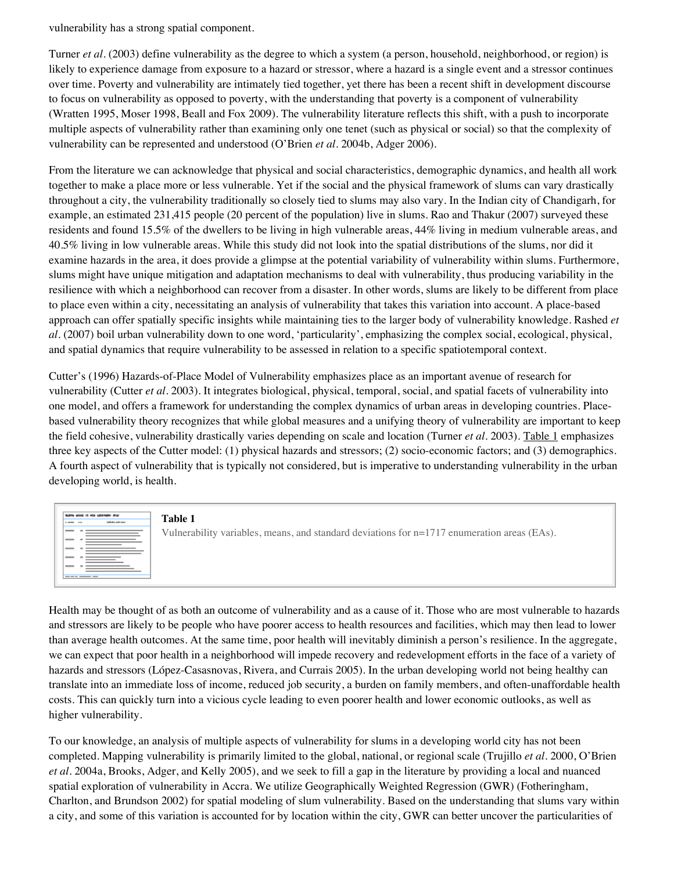vulnerability has a strong spatial component.

Turner *et al*. (2003) define vulnerability as the degree to which a system (a person, household, neighborhood, or region) is likely to experience damage from exposure to a hazard or stressor, where a hazard is a single event and a stressor continues over time. Poverty and vulnerability are intimately tied together, yet there has been a recent shift in development discourse to focus on vulnerability as opposed to poverty, with the understanding that poverty is a component of vulnerability (Wratten 1995, Moser 1998, Beall and Fox 2009). The vulnerability literature reflects this shift, with a push to incorporate multiple aspects of vulnerability rather than examining only one tenet (such as physical or social) so that the complexity of vulnerability can be represented and understood (O'Brien *et al*. 2004b, Adger 2006).

From the literature we can acknowledge that physical and social characteristics, demographic dynamics, and health all work together to make a place more or less vulnerable. Yet if the social and the physical framework of slums can vary drastically throughout a city, the vulnerability traditionally so closely tied to slums may also vary. In the Indian city of Chandigarh, for example, an estimated 231,415 people (20 percent of the population) live in slums. Rao and Thakur (2007) surveyed these residents and found 15.5% of the dwellers to be living in high vulnerable areas, 44% living in medium vulnerable areas, and 40.5% living in low vulnerable areas. While this study did not look into the spatial distributions of the slums, nor did it examine hazards in the area, it does provide a glimpse at the potential variability of vulnerability within slums. Furthermore, slums might have unique mitigation and adaptation mechanisms to deal with vulnerability, thus producing variability in the resilience with which a neighborhood can recover from a disaster. In other words, slums are likely to be different from place to place even within a city, necessitating an analysis of vulnerability that takes this variation into account. A place-based approach can offer spatially specific insights while maintaining ties to the larger body of vulnerability knowledge. Rashed *et al*. (2007) boil urban vulnerability down to one word, 'particularity', emphasizing the complex social, ecological, physical, and spatial dynamics that require vulnerability to be assessed in relation to a specific spatiotemporal context.

Cutter's (1996) Hazards-of-Place Model of Vulnerability emphasizes place as an important avenue of research for vulnerability (Cutter *et al*. 2003). It integrates biological, physical, temporal, social, and spatial facets of vulnerability into one model, and offers a framework for understanding the complex dynamics of urban areas in developing countries. Placebased vulnerability theory recognizes that while global measures and a unifying theory of vulnerability are important to keep the field cohesive, vulnerability drastically varies depending on scale and location (Turner *et al*. 2003). Table 1 emphasizes three key aspects of the Cutter model: (1) physical hazards and stressors; (2) socio-economic factors; and (3) demographics. A fourth aspect of vulnerability that is typically not considered, but is imperative to understanding vulnerability in the urban developing world, is health.



**Table 1**

Vulnerability variables, means, and standard deviations for n=1717 enumeration areas (EAs).

Health may be thought of as both an outcome of vulnerability and as a cause of it. Those who are most vulnerable to hazards and stressors are likely to be people who have poorer access to health resources and facilities, which may then lead to lower than average health outcomes. At the same time, poor health will inevitably diminish a person's resilience. In the aggregate, we can expect that poor health in a neighborhood will impede recovery and redevelopment efforts in the face of a variety of hazards and stressors (López-Casasnovas, Rivera, and Currais 2005). In the urban developing world not being healthy can translate into an immediate loss of income, reduced job security, a burden on family members, and often-unaffordable health costs. This can quickly turn into a vicious cycle leading to even poorer health and lower economic outlooks, as well as higher vulnerability.

To our knowledge, an analysis of multiple aspects of vulnerability for slums in a developing world city has not been completed. Mapping vulnerability is primarily limited to the global, national, or regional scale (Trujillo *et al*. 2000, O'Brien *et al*. 2004a, Brooks, Adger, and Kelly 2005), and we seek to fill a gap in the literature by providing a local and nuanced spatial exploration of vulnerability in Accra. We utilize Geographically Weighted Regression (GWR) (Fotheringham, Charlton, and Brundson 2002) for spatial modeling of slum vulnerability. Based on the understanding that slums vary within a city, and some of this variation is accounted for by location within the city, GWR can better uncover the particularities of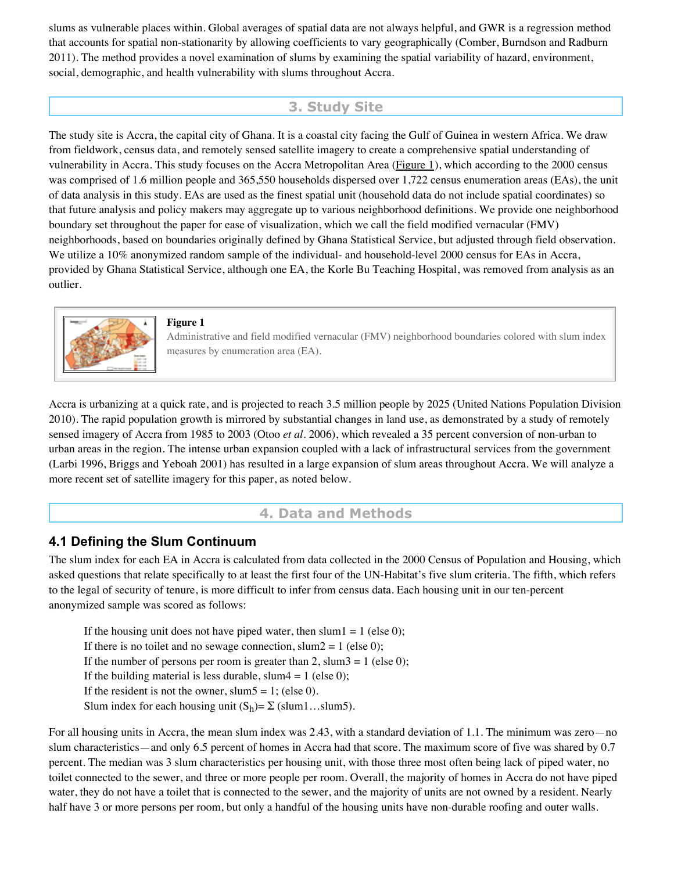slums as vulnerable places within. Global averages of spatial data are not always helpful, and GWR is a regression method that accounts for spatial non-stationarity by allowing coefficients to vary geographically (Comber, Burndson and Radburn 2011). The method provides a novel examination of slums by examining the spatial variability of hazard, environment, social, demographic, and health vulnerability with slums throughout Accra.

# **3. Study Site**

The study site is Accra, the capital city of Ghana. It is a coastal city facing the Gulf of Guinea in western Africa. We draw from fieldwork, census data, and remotely sensed satellite imagery to create a comprehensive spatial understanding of vulnerability in Accra. This study focuses on the Accra Metropolitan Area (Figure 1), which according to the 2000 census was comprised of 1.6 million people and 365,550 households dispersed over 1,722 census enumeration areas (EAs), the unit of data analysis in this study. EAs are used as the finest spatial unit (household data do not include spatial coordinates) so that future analysis and policy makers may aggregate up to various neighborhood definitions. We provide one neighborhood boundary set throughout the paper for ease of visualization, which we call the field modified vernacular (FMV) neighborhoods, based on boundaries originally defined by Ghana Statistical Service, but adjusted through field observation. We utilize a 10% anonymized random sample of the individual- and household-level 2000 census for EAs in Accra, provided by Ghana Statistical Service, although one EA, the Korle Bu Teaching Hospital, was removed from analysis as an outlier.



#### **Figure 1**

Administrative and field modified vernacular (FMV) neighborhood boundaries colored with slum index measures by enumeration area (EA).

Accra is urbanizing at a quick rate, and is projected to reach 3.5 million people by 2025 (United Nations Population Division 2010). The rapid population growth is mirrored by substantial changes in land use, as demonstrated by a study of remotely sensed imagery of Accra from 1985 to 2003 (Otoo *et al*. 2006), which revealed a 35 percent conversion of non-urban to urban areas in the region. The intense urban expansion coupled with a lack of infrastructural services from the government (Larbi 1996, Briggs and Yeboah 2001) has resulted in a large expansion of slum areas throughout Accra. We will analyze a more recent set of satellite imagery for this paper, as noted below.

## **4. Data and Methods**

## **4.1 Defining the Slum Continuum**

The slum index for each EA in Accra is calculated from data collected in the 2000 Census of Population and Housing, which asked questions that relate specifically to at least the first four of the UN-Habitat's five slum criteria. The fifth, which refers to the legal of security of tenure, is more difficult to infer from census data. Each housing unit in our ten-percent anonymized sample was scored as follows:

If the housing unit does not have piped water, then slum  $1 = 1$  (else 0); If there is no toilet and no sewage connection, slum $2 = 1$  (else 0); If the number of persons per room is greater than 2, slum $3 = 1$  (else 0); If the building material is less durable, slum $4 = 1$  (else 0); If the resident is not the owner, slum5 = 1; (else 0). Slum index for each housing unit  $(S_h) = \sum$  (slum1...slum5).

For all housing units in Accra, the mean slum index was 2.43, with a standard deviation of 1.1. The minimum was zero—no slum characteristics—and only 6.5 percent of homes in Accra had that score. The maximum score of five was shared by 0.7 percent. The median was 3 slum characteristics per housing unit, with those three most often being lack of piped water, no toilet connected to the sewer, and three or more people per room. Overall, the majority of homes in Accra do not have piped water, they do not have a toilet that is connected to the sewer, and the majority of units are not owned by a resident. Nearly half have 3 or more persons per room, but only a handful of the housing units have non-durable roofing and outer walls.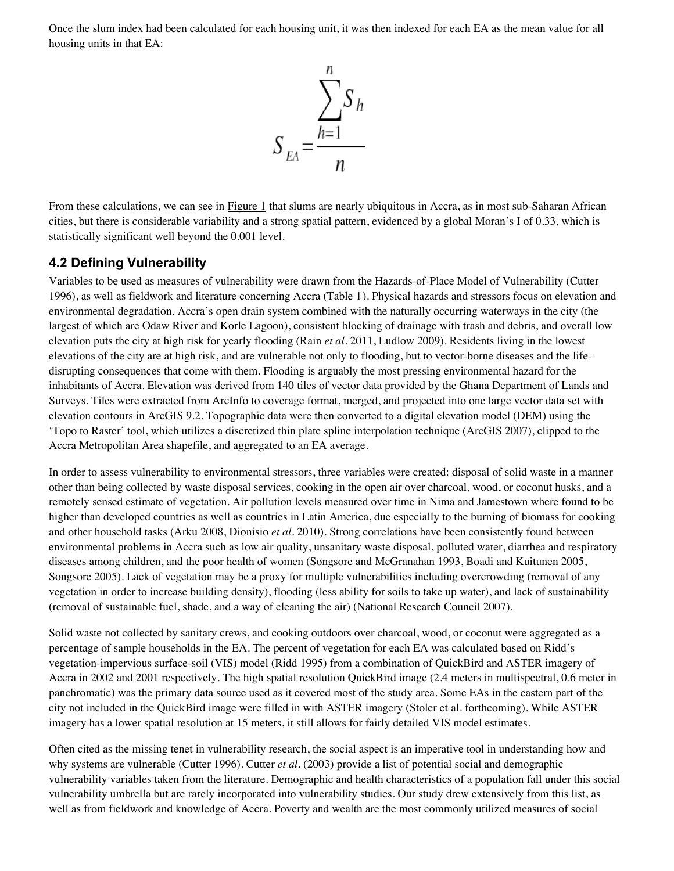Once the slum index had been calculated for each housing unit, it was then indexed for each EA as the mean value for all housing units in that EA:



From these calculations, we can see in Figure 1 that slums are nearly ubiquitous in Accra, as in most sub-Saharan African cities, but there is considerable variability and a strong spatial pattern, evidenced by a global Moran's I of 0.33, which is statistically significant well beyond the 0.001 level.

## **4.2 Defining Vulnerability**

Variables to be used as measures of vulnerability were drawn from the Hazards-of-Place Model of Vulnerability (Cutter 1996), as well as fieldwork and literature concerning Accra (Table 1). Physical hazards and stressors focus on elevation and environmental degradation. Accra's open drain system combined with the naturally occurring waterways in the city (the largest of which are Odaw River and Korle Lagoon), consistent blocking of drainage with trash and debris, and overall low elevation puts the city at high risk for yearly flooding (Rain *et al*. 2011, Ludlow 2009). Residents living in the lowest elevations of the city are at high risk, and are vulnerable not only to flooding, but to vector-borne diseases and the lifedisrupting consequences that come with them. Flooding is arguably the most pressing environmental hazard for the inhabitants of Accra. Elevation was derived from 140 tiles of vector data provided by the Ghana Department of Lands and Surveys. Tiles were extracted from ArcInfo to coverage format, merged, and projected into one large vector data set with elevation contours in ArcGIS 9.2. Topographic data were then converted to a digital elevation model (DEM) using the 'Topo to Raster' tool, which utilizes a discretized thin plate spline interpolation technique (ArcGIS 2007), clipped to the Accra Metropolitan Area shapefile, and aggregated to an EA average.

In order to assess vulnerability to environmental stressors, three variables were created: disposal of solid waste in a manner other than being collected by waste disposal services, cooking in the open air over charcoal, wood, or coconut husks, and a remotely sensed estimate of vegetation. Air pollution levels measured over time in Nima and Jamestown where found to be higher than developed countries as well as countries in Latin America, due especially to the burning of biomass for cooking and other household tasks (Arku 2008, Dionisio *et al*. 2010). Strong correlations have been consistently found between environmental problems in Accra such as low air quality, unsanitary waste disposal, polluted water, diarrhea and respiratory diseases among children, and the poor health of women (Songsore and McGranahan 1993, Boadi and Kuitunen 2005, Songsore 2005). Lack of vegetation may be a proxy for multiple vulnerabilities including overcrowding (removal of any vegetation in order to increase building density), flooding (less ability for soils to take up water), and lack of sustainability (removal of sustainable fuel, shade, and a way of cleaning the air) (National Research Council 2007).

Solid waste not collected by sanitary crews, and cooking outdoors over charcoal, wood, or coconut were aggregated as a percentage of sample households in the EA. The percent of vegetation for each EA was calculated based on Ridd's vegetation-impervious surface-soil (VIS) model (Ridd 1995) from a combination of QuickBird and ASTER imagery of Accra in 2002 and 2001 respectively. The high spatial resolution QuickBird image (2.4 meters in multispectral, 0.6 meter in panchromatic) was the primary data source used as it covered most of the study area. Some EAs in the eastern part of the city not included in the QuickBird image were filled in with ASTER imagery (Stoler et al. forthcoming). While ASTER imagery has a lower spatial resolution at 15 meters, it still allows for fairly detailed VIS model estimates.

Often cited as the missing tenet in vulnerability research, the social aspect is an imperative tool in understanding how and why systems are vulnerable (Cutter 1996). Cutter *et al*. (2003) provide a list of potential social and demographic vulnerability variables taken from the literature. Demographic and health characteristics of a population fall under this social vulnerability umbrella but are rarely incorporated into vulnerability studies. Our study drew extensively from this list, as well as from fieldwork and knowledge of Accra. Poverty and wealth are the most commonly utilized measures of social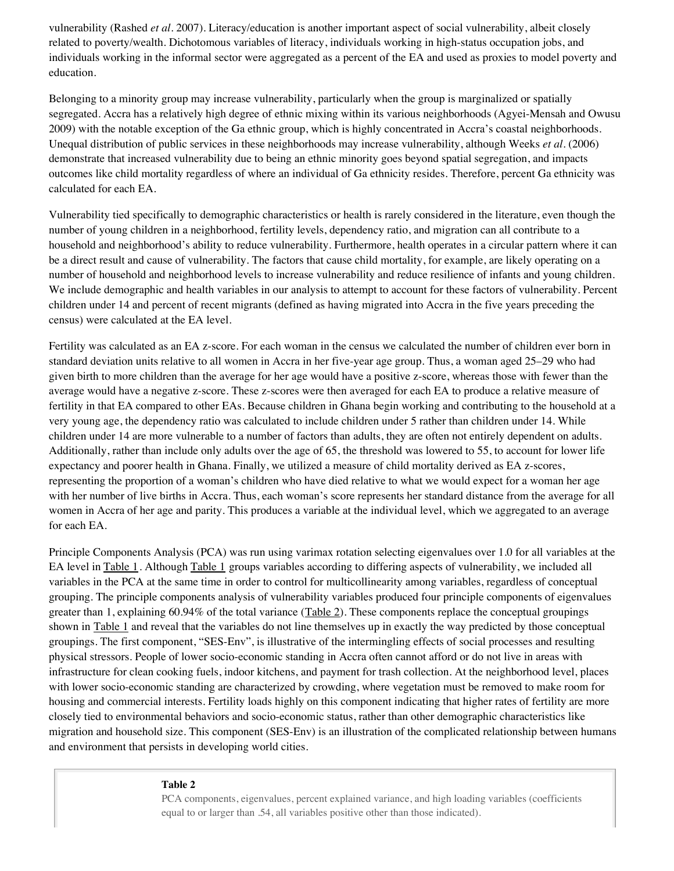vulnerability (Rashed *et al*. 2007). Literacy/education is another important aspect of social vulnerability, albeit closely related to poverty/wealth. Dichotomous variables of literacy, individuals working in high-status occupation jobs, and individuals working in the informal sector were aggregated as a percent of the EA and used as proxies to model poverty and education.

Belonging to a minority group may increase vulnerability, particularly when the group is marginalized or spatially segregated. Accra has a relatively high degree of ethnic mixing within its various neighborhoods (Agyei-Mensah and Owusu 2009) with the notable exception of the Ga ethnic group, which is highly concentrated in Accra's coastal neighborhoods. Unequal distribution of public services in these neighborhoods may increase vulnerability, although Weeks *et al*. (2006) demonstrate that increased vulnerability due to being an ethnic minority goes beyond spatial segregation, and impacts outcomes like child mortality regardless of where an individual of Ga ethnicity resides. Therefore, percent Ga ethnicity was calculated for each EA.

Vulnerability tied specifically to demographic characteristics or health is rarely considered in the literature, even though the number of young children in a neighborhood, fertility levels, dependency ratio, and migration can all contribute to a household and neighborhood's ability to reduce vulnerability. Furthermore, health operates in a circular pattern where it can be a direct result and cause of vulnerability. The factors that cause child mortality, for example, are likely operating on a number of household and neighborhood levels to increase vulnerability and reduce resilience of infants and young children. We include demographic and health variables in our analysis to attempt to account for these factors of vulnerability. Percent children under 14 and percent of recent migrants (defined as having migrated into Accra in the five years preceding the census) were calculated at the EA level.

Fertility was calculated as an EA z-score. For each woman in the census we calculated the number of children ever born in standard deviation units relative to all women in Accra in her five-year age group. Thus, a woman aged 25–29 who had given birth to more children than the average for her age would have a positive z-score, whereas those with fewer than the average would have a negative z-score. These z-scores were then averaged for each EA to produce a relative measure of fertility in that EA compared to other EAs. Because children in Ghana begin working and contributing to the household at a very young age, the dependency ratio was calculated to include children under 5 rather than children under 14. While children under 14 are more vulnerable to a number of factors than adults, they are often not entirely dependent on adults. Additionally, rather than include only adults over the age of 65, the threshold was lowered to 55, to account for lower life expectancy and poorer health in Ghana. Finally, we utilized a measure of child mortality derived as EA z-scores, representing the proportion of a woman's children who have died relative to what we would expect for a woman her age with her number of live births in Accra. Thus, each woman's score represents her standard distance from the average for all women in Accra of her age and parity. This produces a variable at the individual level, which we aggregated to an average for each EA.

Principle Components Analysis (PCA) was run using varimax rotation selecting eigenvalues over 1.0 for all variables at the EA level in Table 1. Although Table 1 groups variables according to differing aspects of vulnerability, we included all variables in the PCA at the same time in order to control for multicollinearity among variables, regardless of conceptual grouping. The principle components analysis of vulnerability variables produced four principle components of eigenvalues greater than 1, explaining  $60.94\%$  of the total variance (Table 2). These components replace the conceptual groupings shown in Table 1 and reveal that the variables do not line themselves up in exactly the way predicted by those conceptual groupings. The first component, "SES-Env", is illustrative of the intermingling effects of social processes and resulting physical stressors. People of lower socio-economic standing in Accra often cannot afford or do not live in areas with infrastructure for clean cooking fuels, indoor kitchens, and payment for trash collection. At the neighborhood level, places with lower socio-economic standing are characterized by crowding, where vegetation must be removed to make room for housing and commercial interests. Fertility loads highly on this component indicating that higher rates of fertility are more closely tied to environmental behaviors and socio-economic status, rather than other demographic characteristics like migration and household size. This component (SES-Env) is an illustration of the complicated relationship between humans and environment that persists in developing world cities.

#### **Table 2**

PCA components, eigenvalues, percent explained variance, and high loading variables (coefficients equal to or larger than .54, all variables positive other than those indicated).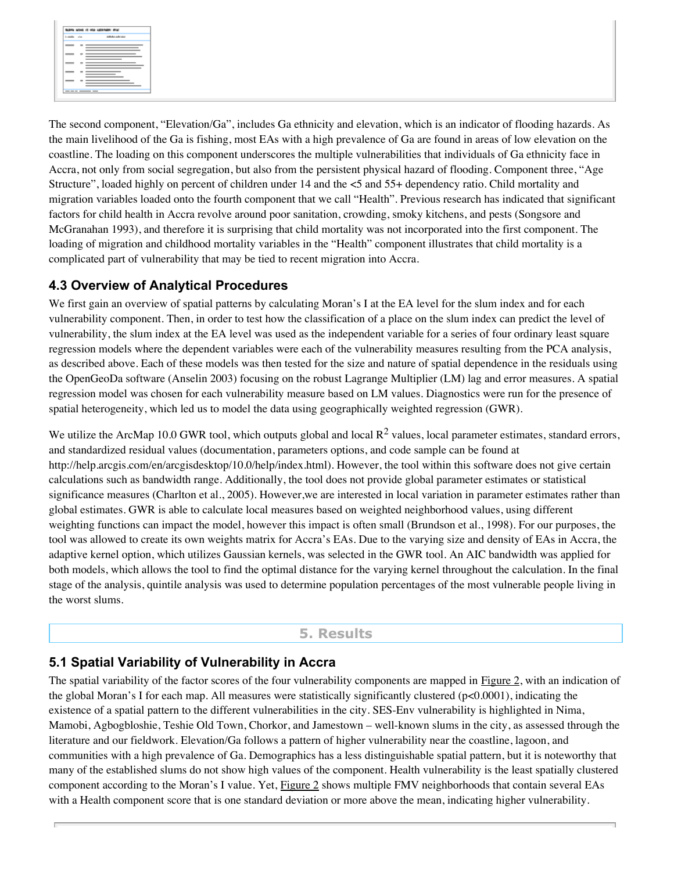

The second component, "Elevation/Ga", includes Ga ethnicity and elevation, which is an indicator of flooding hazards. As the main livelihood of the Ga is fishing, most EAs with a high prevalence of Ga are found in areas of low elevation on the coastline. The loading on this component underscores the multiple vulnerabilities that individuals of Ga ethnicity face in Accra, not only from social segregation, but also from the persistent physical hazard of flooding. Component three, "Age Structure", loaded highly on percent of children under 14 and the <5 and 55+ dependency ratio. Child mortality and migration variables loaded onto the fourth component that we call "Health". Previous research has indicated that significant factors for child health in Accra revolve around poor sanitation, crowding, smoky kitchens, and pests (Songsore and McGranahan 1993), and therefore it is surprising that child mortality was not incorporated into the first component. The loading of migration and childhood mortality variables in the "Health" component illustrates that child mortality is a complicated part of vulnerability that may be tied to recent migration into Accra.

# **4.3 Overview of Analytical Procedures**

We first gain an overview of spatial patterns by calculating Moran's I at the EA level for the slum index and for each vulnerability component. Then, in order to test how the classification of a place on the slum index can predict the level of vulnerability, the slum index at the EA level was used as the independent variable for a series of four ordinary least square regression models where the dependent variables were each of the vulnerability measures resulting from the PCA analysis, as described above. Each of these models was then tested for the size and nature of spatial dependence in the residuals using the OpenGeoDa software (Anselin 2003) focusing on the robust Lagrange Multiplier (LM) lag and error measures. A spatial regression model was chosen for each vulnerability measure based on LM values. Diagnostics were run for the presence of spatial heterogeneity, which led us to model the data using geographically weighted regression (GWR).

We utilize the ArcMap 10.0 GWR tool, which outputs global and local  $R^2$  values, local parameter estimates, standard errors, and standardized residual values (documentation, parameters options, and code sample can be found at http://help.arcgis.com/en/arcgisdesktop/10.0/help/index.html). However, the tool within this software does not give certain calculations such as bandwidth range. Additionally, the tool does not provide global parameter estimates or statistical significance measures (Charlton et al., 2005). However,we are interested in local variation in parameter estimates rather than global estimates. GWR is able to calculate local measures based on weighted neighborhood values, using different weighting functions can impact the model, however this impact is often small (Brundson et al., 1998). For our purposes, the tool was allowed to create its own weights matrix for Accra's EAs. Due to the varying size and density of EAs in Accra, the adaptive kernel option, which utilizes Gaussian kernels, was selected in the GWR tool. An AIC bandwidth was applied for both models, which allows the tool to find the optimal distance for the varying kernel throughout the calculation. In the final stage of the analysis, quintile analysis was used to determine population percentages of the most vulnerable people living in the worst slums.

### **5. Results**

# **5.1 Spatial Variability of Vulnerability in Accra**

The spatial variability of the factor scores of the four vulnerability components are mapped in Figure 2, with an indication of the global Moran's I for each map. All measures were statistically significantly clustered (p<0.0001), indicating the existence of a spatial pattern to the different vulnerabilities in the city. SES-Env vulnerability is highlighted in Nima, Mamobi, Agbogbloshie, Teshie Old Town, Chorkor, and Jamestown – well-known slums in the city, as assessed through the literature and our fieldwork. Elevation/Ga follows a pattern of higher vulnerability near the coastline, lagoon, and communities with a high prevalence of Ga. Demographics has a less distinguishable spatial pattern, but it is noteworthy that many of the established slums do not show high values of the component. Health vulnerability is the least spatially clustered component according to the Moran's I value. Yet, Figure 2 shows multiple FMV neighborhoods that contain several EAs with a Health component score that is one standard deviation or more above the mean, indicating higher vulnerability.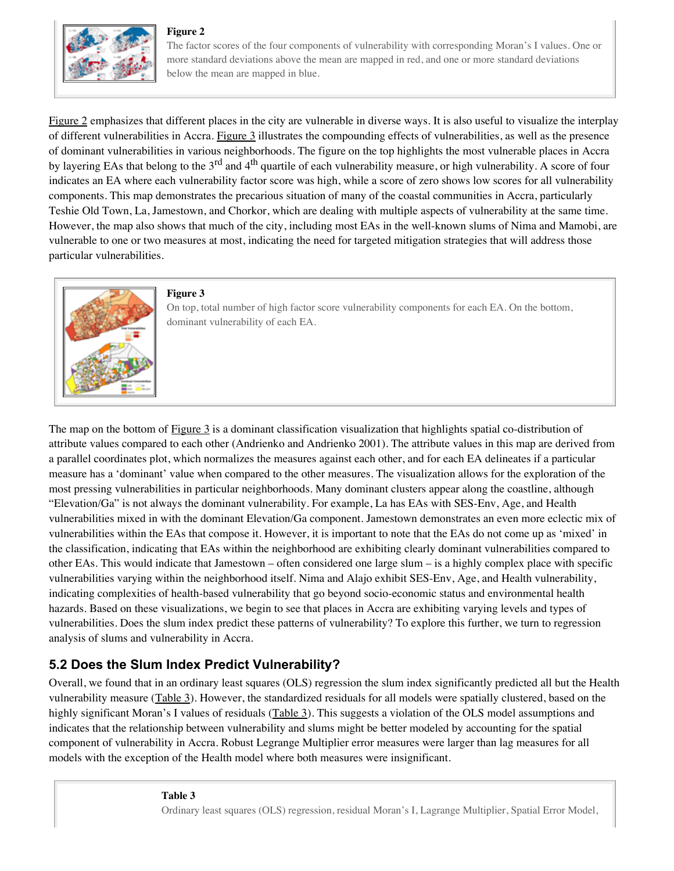### **Figure 2**



The factor scores of the four components of vulnerability with corresponding Moran's I values. One or more standard deviations above the mean are mapped in red, and one or more standard deviations below the mean are mapped in blue.

Figure 2 emphasizes that different places in the city are vulnerable in diverse ways. It is also useful to visualize the interplay of different vulnerabilities in Accra. Figure 3 illustrates the compounding effects of vulnerabilities, as well as the presence of dominant vulnerabilities in various neighborhoods. The figure on the top highlights the most vulnerable places in Accra by layering EAs that belong to the 3<sup>rd</sup> and 4<sup>th</sup> quartile of each vulnerability measure, or high vulnerability. A score of four indicates an EA where each vulnerability factor score was high, while a score of zero shows low scores for all vulnerability components. This map demonstrates the precarious situation of many of the coastal communities in Accra, particularly Teshie Old Town, La, Jamestown, and Chorkor, which are dealing with multiple aspects of vulnerability at the same time. However, the map also shows that much of the city, including most EAs in the well-known slums of Nima and Mamobi, are vulnerable to one or two measures at most, indicating the need for targeted mitigation strategies that will address those particular vulnerabilities.



### **Figure 3**

On top, total number of high factor score vulnerability components for each EA. On the bottom, dominant vulnerability of each EA.

The map on the bottom of Figure 3 is a dominant classification visualization that highlights spatial co-distribution of attribute values compared to each other (Andrienko and Andrienko 2001). The attribute values in this map are derived from a parallel coordinates plot, which normalizes the measures against each other, and for each EA delineates if a particular measure has a 'dominant' value when compared to the other measures. The visualization allows for the exploration of the most pressing vulnerabilities in particular neighborhoods. Many dominant clusters appear along the coastline, although "Elevation/Ga" is not always the dominant vulnerability. For example, La has EAs with SES-Env, Age, and Health vulnerabilities mixed in with the dominant Elevation/Ga component. Jamestown demonstrates an even more eclectic mix of vulnerabilities within the EAs that compose it. However, it is important to note that the EAs do not come up as 'mixed' in the classification, indicating that EAs within the neighborhood are exhibiting clearly dominant vulnerabilities compared to other EAs. This would indicate that Jamestown – often considered one large slum – is a highly complex place with specific vulnerabilities varying within the neighborhood itself. Nima and Alajo exhibit SES-Env, Age, and Health vulnerability, indicating complexities of health-based vulnerability that go beyond socio-economic status and environmental health hazards. Based on these visualizations, we begin to see that places in Accra are exhibiting varying levels and types of vulnerabilities. Does the slum index predict these patterns of vulnerability? To explore this further, we turn to regression analysis of slums and vulnerability in Accra.

# **5.2 Does the Slum Index Predict Vulnerability?**

Overall, we found that in an ordinary least squares (OLS) regression the slum index significantly predicted all but the Health vulnerability measure (Table 3). However, the standardized residuals for all models were spatially clustered, based on the highly significant Moran's I values of residuals (Table 3). This suggests a violation of the OLS model assumptions and indicates that the relationship between vulnerability and slums might be better modeled by accounting for the spatial component of vulnerability in Accra. Robust Legrange Multiplier error measures were larger than lag measures for all models with the exception of the Health model where both measures were insignificant.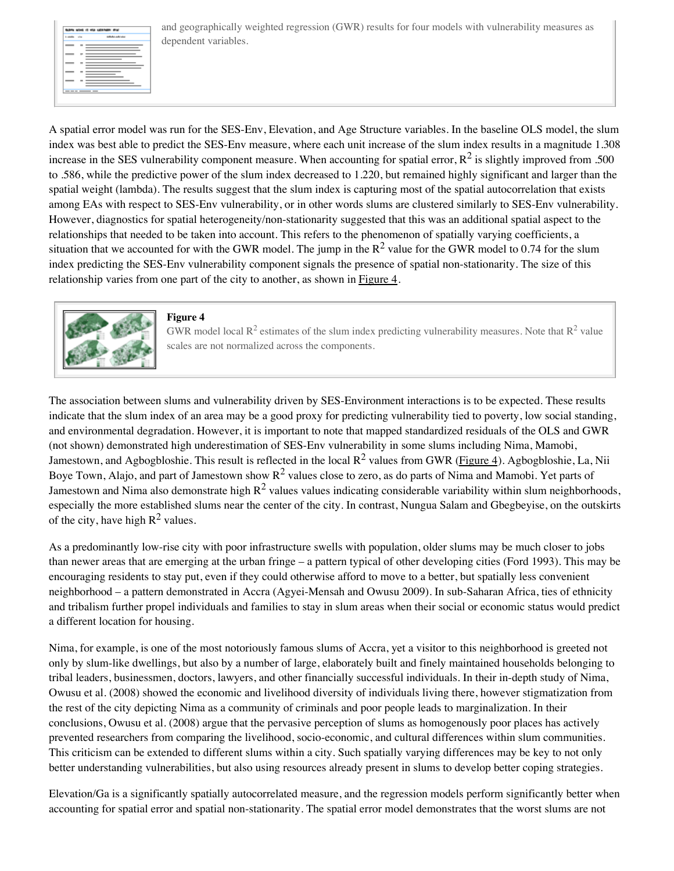

and geographically weighted regression (GWR) results for four models with vulnerability measures as dependent variables.

A spatial error model was run for the SES-Env, Elevation, and Age Structure variables. In the baseline OLS model, the slum index was best able to predict the SES-Env measure, where each unit increase of the slum index results in a magnitude 1.308 increase in the SES vulnerability component measure. When accounting for spatial error,  $R^2$  is slightly improved from .500 to .586, while the predictive power of the slum index decreased to 1.220, but remained highly significant and larger than the spatial weight (lambda). The results suggest that the slum index is capturing most of the spatial autocorrelation that exists among EAs with respect to SES-Env vulnerability, or in other words slums are clustered similarly to SES-Env vulnerability. However, diagnostics for spatial heterogeneity/non-stationarity suggested that this was an additional spatial aspect to the relationships that needed to be taken into account. This refers to the phenomenon of spatially varying coefficients, a situation that we accounted for with the GWR model. The jump in the  $R^2$  value for the GWR model to 0.74 for the slum index predicting the SES-Env vulnerability component signals the presence of spatial non-stationarity. The size of this relationship varies from one part of the city to another, as shown in Figure 4.



#### **Figure 4**

GWR model local  $\mathbb{R}^2$  estimates of the slum index predicting vulnerability measures. Note that  $\mathbb{R}^2$  value scales are not normalized across the components.

The association between slums and vulnerability driven by SES-Environment interactions is to be expected. These results indicate that the slum index of an area may be a good proxy for predicting vulnerability tied to poverty, low social standing, and environmental degradation. However, it is important to note that mapped standardized residuals of the OLS and GWR (not shown) demonstrated high underestimation of SES-Env vulnerability in some slums including Nima, Mamobi, Jamestown, and Agbogbloshie. This result is reflected in the local  $R^2$  values from GWR (Figure 4). Agbogbloshie, La, Nii Boye Town, Alajo, and part of Jamestown show  $R^2$  values close to zero, as do parts of Nima and Mamobi. Yet parts of Jamestown and Nima also demonstrate high  $R^2$  values values indicating considerable variability within slum neighborhoods, especially the more established slums near the center of the city. In contrast, Nungua Salam and Gbegbeyise, on the outskirts of the city, have high  $R^2$  values.

As a predominantly low-rise city with poor infrastructure swells with population, older slums may be much closer to jobs than newer areas that are emerging at the urban fringe – a pattern typical of other developing cities (Ford 1993). This may be encouraging residents to stay put, even if they could otherwise afford to move to a better, but spatially less convenient neighborhood – a pattern demonstrated in Accra (Agyei-Mensah and Owusu 2009). In sub-Saharan Africa, ties of ethnicity and tribalism further propel individuals and families to stay in slum areas when their social or economic status would predict a different location for housing.

Nima, for example, is one of the most notoriously famous slums of Accra, yet a visitor to this neighborhood is greeted not only by slum-like dwellings, but also by a number of large, elaborately built and finely maintained households belonging to tribal leaders, businessmen, doctors, lawyers, and other financially successful individuals. In their in-depth study of Nima, Owusu et al. (2008) showed the economic and livelihood diversity of individuals living there, however stigmatization from the rest of the city depicting Nima as a community of criminals and poor people leads to marginalization. In their conclusions, Owusu et al. (2008) argue that the pervasive perception of slums as homogenously poor places has actively prevented researchers from comparing the livelihood, socio-economic, and cultural differences within slum communities. This criticism can be extended to different slums within a city. Such spatially varying differences may be key to not only better understanding vulnerabilities, but also using resources already present in slums to develop better coping strategies.

Elevation/Ga is a significantly spatially autocorrelated measure, and the regression models perform significantly better when accounting for spatial error and spatial non-stationarity. The spatial error model demonstrates that the worst slums are not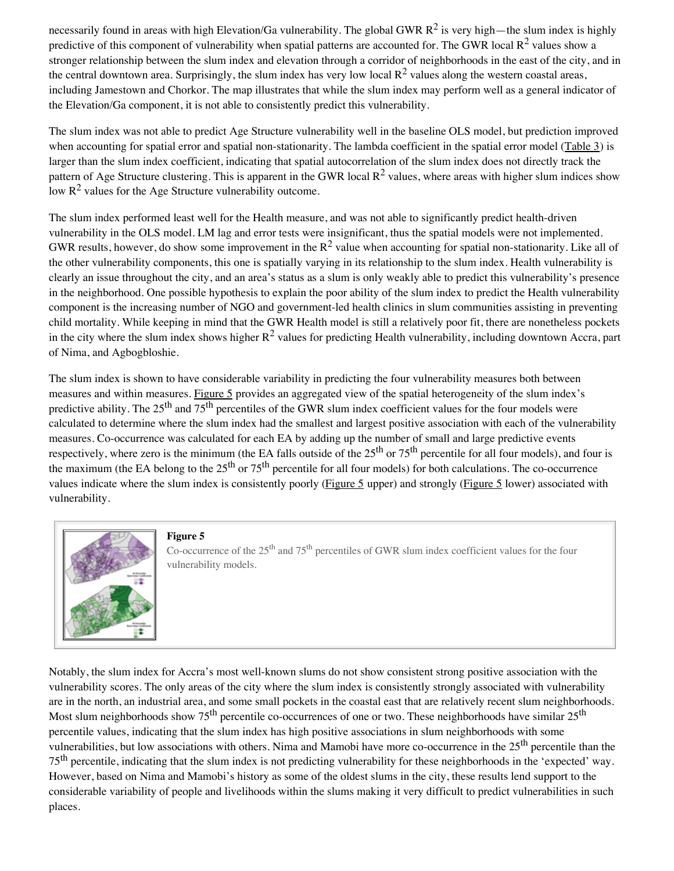necessarily found in areas with high Elevation/Ga vulnerability. The global GWR  $R^2$  is very high—the slum index is highly predictive of this component of vulnerability when spatial patterns are accounted for. The GWR local  $R^2$  values show a stronger relationship between the slum index and elevation through a corridor of neighborhoods in the east of the city, and in the central downtown area. Surprisingly, the slum index has very low local  $R^2$  values along the western coastal areas, including Jamestown and Chorkor. The map illustrates that while the slum index may perform well as a general indicator of the Elevation/Ga component, it is not able to consistently predict this vulnerability.

The slum index was not able to predict Age Structure vulnerability well in the baseline OLS model, but prediction improved when accounting for spatial error and spatial non-stationarity. The lambda coefficient in the spatial error model (Table 3) is larger than the slum index coefficient, indicating that spatial autocorrelation of the slum index does not directly track the pattern of Age Structure clustering. This is apparent in the GWR local  $\mathbb{R}^2$  values, where areas with higher slum indices show low  $R^2$  values for the Age Structure vulnerability outcome.

The slum index performed least well for the Health measure, and was not able to significantly predict health-driven vulnerability in the OLS model. LM lag and error tests were insignificant, thus the spatial models were not implemented. GWR results, however, do show some improvement in the  $R^2$  value when accounting for spatial non-stationarity. Like all of the other vulnerability components, this one is spatially varying in its relationship to the slum index. Health vulnerability is clearly an issue throughout the city, and an area's status as a slum is only weakly able to predict this vulnerability's presence in the neighborhood. One possible hypothesis to explain the poor ability of the slum index to predict the Health vulnerability component is the increasing number of NGO and government-led health clinics in slum communities assisting in preventing child mortality. While keeping in mind that the GWR Health model is still a relatively poor fit, there are nonetheless pockets in the city where the slum index shows higher  $R^2$  values for predicting Health vulnerability, including downtown Accra, part of Nima, and Agbogbloshie.

The slum index is shown to have considerable variability in predicting the four vulnerability measures both between measures and within measures. Figure 5 provides an aggregated view of the spatial heterogeneity of the slum index's predictive ability. The  $25<sup>th</sup>$  and  $75<sup>th</sup>$  percentiles of the GWR slum index coefficient values for the four models were calculated to determine where the slum index had the smallest and largest positive association with each of the vulnerability measures. Co-occurrence was calculated for each EA by adding up the number of small and large predictive events respectively, where zero is the minimum (the EA falls outside of the  $25<sup>th</sup>$  or  $75<sup>th</sup>$  percentile for all four models), and four is the maximum (the EA belong to the  $25<sup>th</sup>$  or  $75<sup>th</sup>$  percentile for all four models) for both calculations. The co-occurrence values indicate where the slum index is consistently poorly (Figure 5 upper) and strongly (Figure 5 lower) associated with vulnerability.



#### **Figure 5**

Co-occurrence of the  $25<sup>th</sup>$  and  $75<sup>th</sup>$  percentiles of GWR slum index coefficient values for the four vulnerability models.

Notably, the slum index for Accra's most well-known slums do not show consistent strong positive association with the vulnerability scores. The only areas of the city where the slum index is consistently strongly associated with vulnerability are in the north, an industrial area, and some small pockets in the coastal east that are relatively recent slum neighborhoods. Most slum neighborhoods show 75<sup>th</sup> percentile co-occurrences of one or two. These neighborhoods have similar 25<sup>th</sup> percentile values, indicating that the slum index has high positive associations in slum neighborhoods with some vulnerabilities, but low associations with others. Nima and Mamobi have more co-occurrence in the 25th percentile than the 75<sup>th</sup> percentile, indicating that the slum index is not predicting vulnerability for these neighborhoods in the 'expected' way. However, based on Nima and Mamobi's history as some of the oldest slums in the city, these results lend support to the considerable variability of people and livelihoods within the slums making it very difficult to predict vulnerabilities in such places.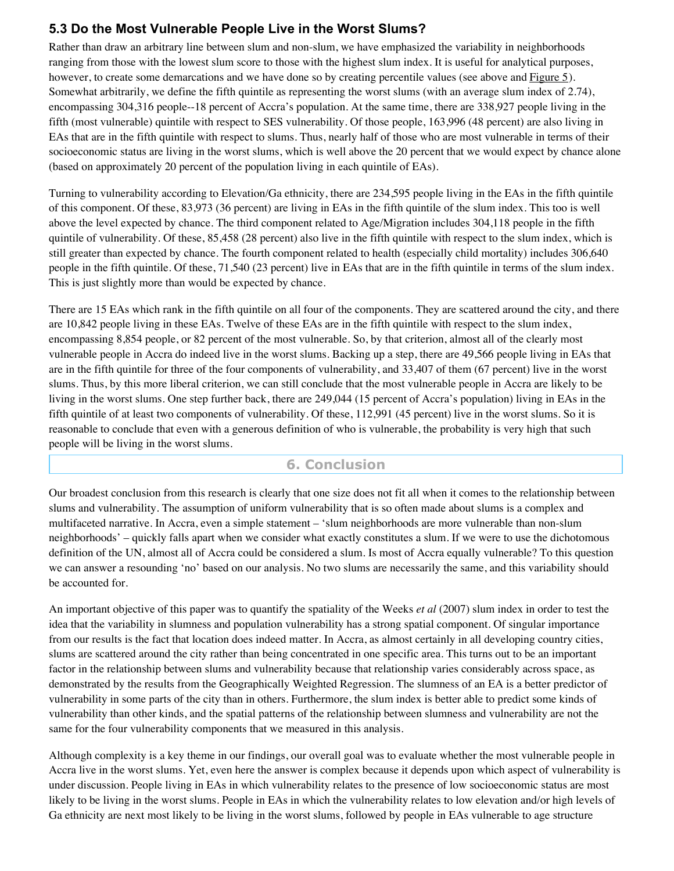# **5.3 Do the Most Vulnerable People Live in the Worst Slums?**

Rather than draw an arbitrary line between slum and non-slum, we have emphasized the variability in neighborhoods ranging from those with the lowest slum score to those with the highest slum index. It is useful for analytical purposes, however, to create some demarcations and we have done so by creating percentile values (see above and Figure 5). Somewhat arbitrarily, we define the fifth quintile as representing the worst slums (with an average slum index of 2.74), encompassing 304,316 people--18 percent of Accra's population. At the same time, there are 338,927 people living in the fifth (most vulnerable) quintile with respect to SES vulnerability. Of those people, 163,996 (48 percent) are also living in EAs that are in the fifth quintile with respect to slums. Thus, nearly half of those who are most vulnerable in terms of their socioeconomic status are living in the worst slums, which is well above the 20 percent that we would expect by chance alone (based on approximately 20 percent of the population living in each quintile of EAs).

Turning to vulnerability according to Elevation/Ga ethnicity, there are 234,595 people living in the EAs in the fifth quintile of this component. Of these, 83,973 (36 percent) are living in EAs in the fifth quintile of the slum index. This too is well above the level expected by chance. The third component related to Age/Migration includes 304,118 people in the fifth quintile of vulnerability. Of these, 85,458 (28 percent) also live in the fifth quintile with respect to the slum index, which is still greater than expected by chance. The fourth component related to health (especially child mortality) includes 306,640 people in the fifth quintile. Of these, 71,540 (23 percent) live in EAs that are in the fifth quintile in terms of the slum index. This is just slightly more than would be expected by chance.

There are 15 EAs which rank in the fifth quintile on all four of the components. They are scattered around the city, and there are 10,842 people living in these EAs. Twelve of these EAs are in the fifth quintile with respect to the slum index, encompassing 8,854 people, or 82 percent of the most vulnerable. So, by that criterion, almost all of the clearly most vulnerable people in Accra do indeed live in the worst slums. Backing up a step, there are 49,566 people living in EAs that are in the fifth quintile for three of the four components of vulnerability, and 33,407 of them (67 percent) live in the worst slums. Thus, by this more liberal criterion, we can still conclude that the most vulnerable people in Accra are likely to be living in the worst slums. One step further back, there are 249,044 (15 percent of Accra's population) living in EAs in the fifth quintile of at least two components of vulnerability. Of these, 112,991 (45 percent) live in the worst slums. So it is reasonable to conclude that even with a generous definition of who is vulnerable, the probability is very high that such people will be living in the worst slums.

# **6. Conclusion**

Our broadest conclusion from this research is clearly that one size does not fit all when it comes to the relationship between slums and vulnerability. The assumption of uniform vulnerability that is so often made about slums is a complex and multifaceted narrative. In Accra, even a simple statement – 'slum neighborhoods are more vulnerable than non-slum neighborhoods' – quickly falls apart when we consider what exactly constitutes a slum. If we were to use the dichotomous definition of the UN, almost all of Accra could be considered a slum. Is most of Accra equally vulnerable? To this question we can answer a resounding 'no' based on our analysis. No two slums are necessarily the same, and this variability should be accounted for.

An important objective of this paper was to quantify the spatiality of the Weeks *et al* (2007) slum index in order to test the idea that the variability in slumness and population vulnerability has a strong spatial component. Of singular importance from our results is the fact that location does indeed matter. In Accra, as almost certainly in all developing country cities, slums are scattered around the city rather than being concentrated in one specific area. This turns out to be an important factor in the relationship between slums and vulnerability because that relationship varies considerably across space, as demonstrated by the results from the Geographically Weighted Regression. The slumness of an EA is a better predictor of vulnerability in some parts of the city than in others. Furthermore, the slum index is better able to predict some kinds of vulnerability than other kinds, and the spatial patterns of the relationship between slumness and vulnerability are not the same for the four vulnerability components that we measured in this analysis.

Although complexity is a key theme in our findings, our overall goal was to evaluate whether the most vulnerable people in Accra live in the worst slums. Yet, even here the answer is complex because it depends upon which aspect of vulnerability is under discussion. People living in EAs in which vulnerability relates to the presence of low socioeconomic status are most likely to be living in the worst slums. People in EAs in which the vulnerability relates to low elevation and/or high levels of Ga ethnicity are next most likely to be living in the worst slums, followed by people in EAs vulnerable to age structure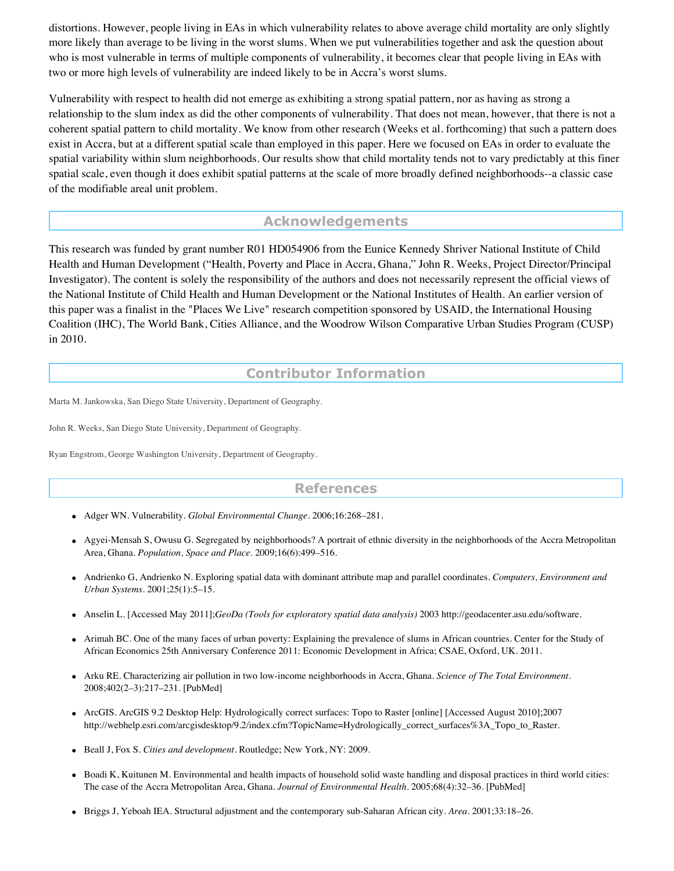distortions. However, people living in EAs in which vulnerability relates to above average child mortality are only slightly more likely than average to be living in the worst slums. When we put vulnerabilities together and ask the question about who is most vulnerable in terms of multiple components of vulnerability, it becomes clear that people living in EAs with two or more high levels of vulnerability are indeed likely to be in Accra's worst slums.

Vulnerability with respect to health did not emerge as exhibiting a strong spatial pattern, nor as having as strong a relationship to the slum index as did the other components of vulnerability. That does not mean, however, that there is not a coherent spatial pattern to child mortality. We know from other research (Weeks et al. forthcoming) that such a pattern does exist in Accra, but at a different spatial scale than employed in this paper. Here we focused on EAs in order to evaluate the spatial variability within slum neighborhoods. Our results show that child mortality tends not to vary predictably at this finer spatial scale, even though it does exhibit spatial patterns at the scale of more broadly defined neighborhoods--a classic case of the modifiable areal unit problem.

# **Acknowledgements**

This research was funded by grant number R01 HD054906 from the Eunice Kennedy Shriver National Institute of Child Health and Human Development ("Health, Poverty and Place in Accra, Ghana," John R. Weeks, Project Director/Principal Investigator). The content is solely the responsibility of the authors and does not necessarily represent the official views of the National Institute of Child Health and Human Development or the National Institutes of Health. An earlier version of this paper was a finalist in the "Places We Live" research competition sponsored by USAID, the International Housing Coalition (IHC), The World Bank, Cities Alliance, and the Woodrow Wilson Comparative Urban Studies Program (CUSP) in 2010.

## **Contributor Information**

Marta M. Jankowska, San Diego State University, Department of Geography.

John R. Weeks, San Diego State University, Department of Geography.

Ryan Engstrom, George Washington University, Department of Geography.

### **References**

- Adger WN. Vulnerability. *Global Environmental Change.* 2006;16:268–281.
- Agyei-Mensah S, Owusu G. Segregated by neighborhoods? A portrait of ethnic diversity in the neighborhoods of the Accra Metropolitan Area, Ghana. *Population, Space and Place.* 2009;16(6):499–516.
- Andrienko G, Andrienko N. Exploring spatial data with dominant attribute map and parallel coordinates. *Computers, Environment and Urban Systems.* 2001;25(1):5–15.
- Anselin L. [Accessed May 2011];*GeoDa (Tools for exploratory spatial data analysis)* 2003 http://geodacenter.asu.edu/software.
- Arimah BC. One of the many faces of urban poverty: Explaining the prevalence of slums in African countries. Center for the Study of African Economics 25th Anniversary Conference 2011: Economic Development in Africa; CSAE, Oxford, UK. 2011.
- Arku RE. Characterizing air pollution in two low-income neighborhoods in Accra, Ghana. *Science of The Total Environment.* 2008;402(2–3):217–231. [PubMed]
- ArcGIS. ArcGIS 9.2 Desktop Help: Hydrologically correct surfaces: Topo to Raster [online] [Accessed August 2010];2007 http://webhelp.esri.com/arcgisdesktop/9.2/index.cfm?TopicName=Hydrologically\_correct\_surfaces%3A\_Topo\_to\_Raster.
- Beall J, Fox S. *Cities and development.* Routledge; New York, NY: 2009.
- Boadi K, Kuitunen M. Environmental and health impacts of household solid waste handling and disposal practices in third world cities: The case of the Accra Metropolitan Area, Ghana. *Journal of Environmental Health.* 2005;68(4):32–36. [PubMed]
- Briggs J, Yeboah IEA. Structural adjustment and the contemporary sub-Saharan African city. *Area.* 2001;33:18–26.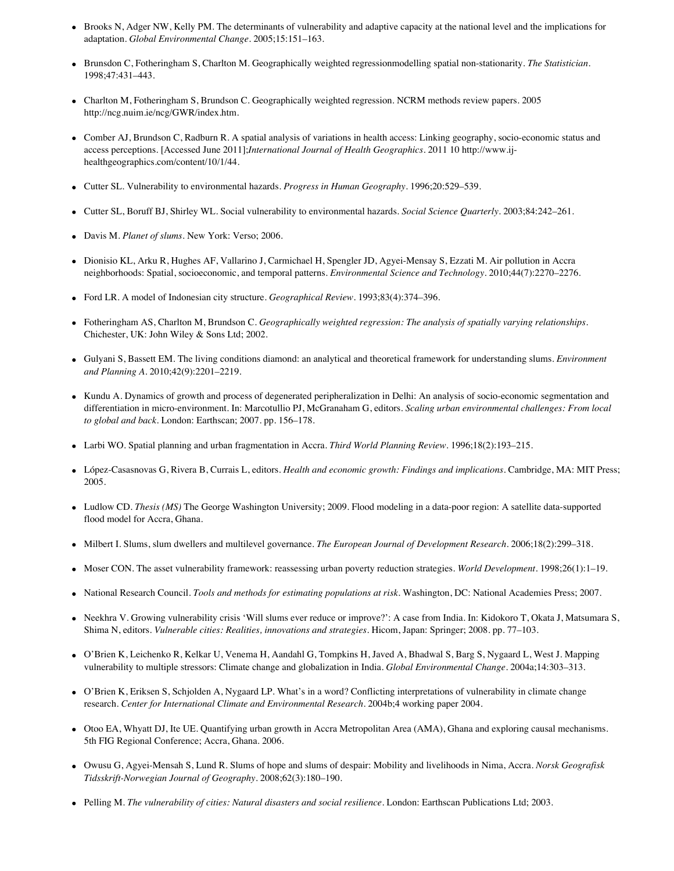- Brooks N, Adger NW, Kelly PM. The determinants of vulnerability and adaptive capacity at the national level and the implications for adaptation. *Global Environmental Change.* 2005;15:151–163.
- Brunsdon C, Fotheringham S, Charlton M. Geographically weighted regressionmodelling spatial non-stationarity. *The Statistician.* 1998;47:431–443.
- Charlton M, Fotheringham S, Brundson C. Geographically weighted regression. NCRM methods review papers. 2005 http://ncg.nuim.ie/ncg/GWR/index.htm.
- Comber AJ, Brundson C, Radburn R. A spatial analysis of variations in health access: Linking geography, socio-economic status and access perceptions. [Accessed June 2011];*International Journal of Health Geographics.* 2011 10 http://www.ijhealthgeographics.com/content/10/1/44.
- Cutter SL. Vulnerability to environmental hazards. *Progress in Human Geography.* 1996;20:529–539.
- Cutter SL, Boruff BJ, Shirley WL. Social vulnerability to environmental hazards. *Social Science Quarterly.* 2003;84:242–261.
- Davis M. *Planet of slums.* New York: Verso; 2006.
- Dionisio KL, Arku R, Hughes AF, Vallarino J, Carmichael H, Spengler JD, Agyei-Mensay S, Ezzati M. Air pollution in Accra neighborhoods: Spatial, socioeconomic, and temporal patterns. *Environmental Science and Technology.* 2010;44(7):2270–2276.
- Ford LR. A model of Indonesian city structure. *Geographical Review.* 1993;83(4):374–396.
- Fotheringham AS, Charlton M, Brundson C. *Geographically weighted regression: The analysis of spatially varying relationships.* Chichester, UK: John Wiley & Sons Ltd; 2002.
- Gulyani S, Bassett EM. The living conditions diamond: an analytical and theoretical framework for understanding slums. *Environment and Planning A.* 2010;42(9):2201–2219.
- Kundu A. Dynamics of growth and process of degenerated peripheralization in Delhi: An analysis of socio-economic segmentation and differentiation in micro-environment. In: Marcotullio PJ, McGranaham G, editors. *Scaling urban environmental challenges: From local to global and back.* London: Earthscan; 2007. pp. 156–178.
- Larbi WO. Spatial planning and urban fragmentation in Accra. *Third World Planning Review.* 1996;18(2):193–215.
- López-Casasnovas G, Rivera B, Currais L, editors. *Health and economic growth: Findings and implications.* Cambridge, MA: MIT Press; 2005.
- Ludlow CD. *Thesis (MS)* The George Washington University; 2009. Flood modeling in a data-poor region: A satellite data-supported flood model for Accra, Ghana.
- Milbert I. Slums, slum dwellers and multilevel governance. *The European Journal of Development Research.* 2006;18(2):299–318.
- Moser CON. The asset vulnerability framework: reassessing urban poverty reduction strategies. *World Development*. 1998;26(1):1–19.
- National Research Council. *Tools and methods for estimating populations at risk.* Washington, DC: National Academies Press; 2007.
- Neekhra V. Growing vulnerability crisis 'Will slums ever reduce or improve?': A case from India. In: Kidokoro T, Okata J, Matsumara S, Shima N, editors. *Vulnerable cities: Realities, innovations and strategies.* Hicom, Japan: Springer; 2008. pp. 77–103.
- O'Brien K, Leichenko R, Kelkar U, Venema H, Aandahl G, Tompkins H, Javed A, Bhadwal S, Barg S, Nygaard L, West J. Mapping vulnerability to multiple stressors: Climate change and globalization in India. *Global Environmental Change.* 2004a;14:303–313.
- O'Brien K, Eriksen S, Schjolden A, Nygaard LP. What's in a word? Conflicting interpretations of vulnerability in climate change research. *Center for International Climate and Environmental Research.* 2004b;4 working paper 2004.
- Otoo EA, Whyatt DJ, Ite UE. Quantifying urban growth in Accra Metropolitan Area (AMA), Ghana and exploring causal mechanisms. 5th FIG Regional Conference; Accra, Ghana. 2006.
- Owusu G, Agyei-Mensah S, Lund R. Slums of hope and slums of despair: Mobility and livelihoods in Nima, Accra. *Norsk Geografisk Tidsskrift-Norwegian Journal of Geography.* 2008;62(3):180–190.
- Pelling M. *The vulnerability of cities: Natural disasters and social resilience.* London: Earthscan Publications Ltd; 2003.